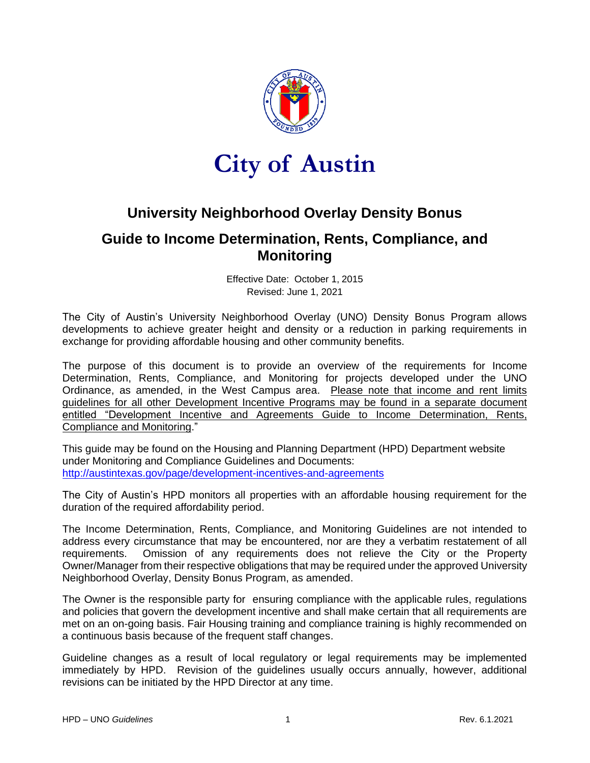

# **City of Austin**

# **University Neighborhood Overlay Density Bonus**

## **Guide to Income Determination, Rents, Compliance, and Monitoring**

Effective Date: October 1, 2015 Revised: June 1, 2021

The City of Austin's University Neighborhood Overlay (UNO) Density Bonus Program allows developments to achieve greater height and density or a reduction in parking requirements in exchange for providing affordable housing and other community benefits.

The purpose of this document is to provide an overview of the requirements for Income Determination, Rents, Compliance, and Monitoring for projects developed under the UNO Ordinance, as amended, in the West Campus area. Please note that income and rent limits guidelines for all other Development Incentive Programs may be found in a separate document entitled "Development Incentive and Agreements Guide to Income Determination, Rents, Compliance and Monitoring."

This guide may be found on the Housing and Planning Department (HPD) Department website under Monitoring and Compliance Guidelines and Documents: <http://austintexas.gov/page/development-incentives-and-agreements>

The City of Austin's HPD monitors all properties with an affordable housing requirement for the duration of the required affordability period.

The Income Determination, Rents, Compliance, and Monitoring Guidelines are not intended to address every circumstance that may be encountered, nor are they a verbatim restatement of all requirements. Omission of any requirements does not relieve the City or the Property Owner/Manager from their respective obligations that may be required under the approved University Neighborhood Overlay, Density Bonus Program, as amended.

The Owner is the responsible party for ensuring compliance with the applicable rules, regulations and policies that govern the development incentive and shall make certain that all requirements are met on an on-going basis. Fair Housing training and compliance training is highly recommended on a continuous basis because of the frequent staff changes.

Guideline changes as a result of local regulatory or legal requirements may be implemented immediately by HPD. Revision of the guidelines usually occurs annually, however, additional revisions can be initiated by the HPD Director at any time.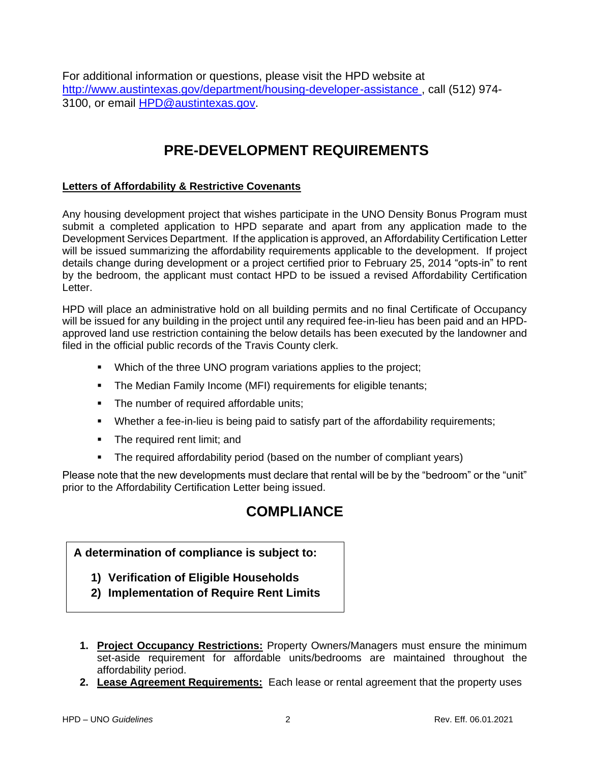For additional information or questions, please visit the HPD website at http://www.austintexas.gov/department/housing-developer-assistance , call (512) 974- 3100, or email [HPD@austintexas.gov.](mailto:HPD@austintexas.gov)

# **PRE-DEVELOPMENT REQUIREMENTS**

#### **Letters of Affordability & Restrictive Covenants**

Any housing development project that wishes participate in the UNO Density Bonus Program must submit a completed application to HPD separate and apart from any application made to the Development Services Department. If the application is approved, an Affordability Certification Letter will be issued summarizing the affordability requirements applicable to the development. If project details change during development or a project certified prior to February 25, 2014 "opts-in" to rent by the bedroom, the applicant must contact HPD to be issued a revised Affordability Certification Letter.

HPD will place an administrative hold on all building permits and no final Certificate of Occupancy will be issued for any building in the project until any required fee-in-lieu has been paid and an HPDapproved land use restriction containing the below details has been executed by the landowner and filed in the official public records of the Travis County clerk.

- Which of the three UNO program variations applies to the project;
- The Median Family Income (MFI) requirements for eligible tenants;
- The number of required affordable units;
- Whether a fee-in-lieu is being paid to satisfy part of the affordability requirements;
- The required rent limit; and
- **•** The required affordability period (based on the number of compliant years)

Please note that the new developments must declare that rental will be by the "bedroom" or the "unit" prior to the Affordability Certification Letter being issued.

# **COMPLIANCE**

### **A determination of compliance is subject to:**

- **1) Verification of Eligible Households**
- **2) Implementation of Require Rent Limits**
- **1. Project Occupancy Restrictions:** Property Owners/Managers must ensure the minimum set-aside requirement for affordable units/bedrooms are maintained throughout the affordability period.
- **2. Lease Agreement Requirements:** Each lease or rental agreement that the property uses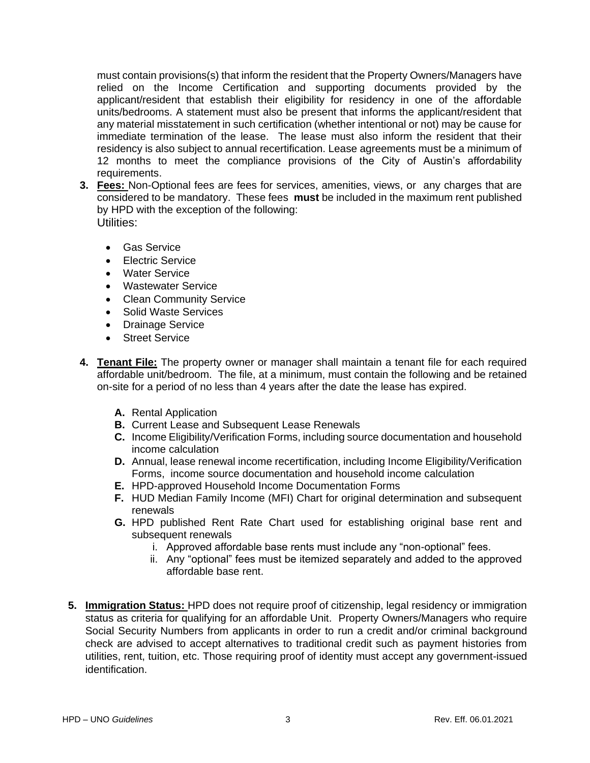must contain provisions(s) that inform the resident that the Property Owners/Managers have relied on the Income Certification and supporting documents provided by the applicant/resident that establish their eligibility for residency in one of the affordable units/bedrooms. A statement must also be present that informs the applicant/resident that any material misstatement in such certification (whether intentional or not) may be cause for immediate termination of the lease. The lease must also inform the resident that their residency is also subject to annual recertification. Lease agreements must be a minimum of 12 months to meet the compliance provisions of the City of Austin's affordability requirements.

- **3. Fees:** Non-Optional fees are fees for services, amenities, views, or any charges that are considered to be mandatory. These fees **must** be included in the maximum rent published by HPD with the exception of the following: Utilities:
	- Gas Service
	- Electric Service
	- Water Service
	- Wastewater Service
	- Clean Community Service
	- Solid Waste Services
	- Drainage Service
	- Street Service
- **4. Tenant File:** The property owner or manager shall maintain a tenant file for each required affordable unit/bedroom. The file, at a minimum, must contain the following and be retained on-site for a period of no less than 4 years after the date the lease has expired.
	- **A.** Rental Application
	- **B.** Current Lease and Subsequent Lease Renewals
	- **C.** Income Eligibility/Verification Forms, including source documentation and household income calculation
	- **D.** Annual, lease renewal income recertification, including Income Eligibility/Verification Forms, income source documentation and household income calculation
	- **E.** HPD-approved Household Income Documentation Forms
	- **F.** HUD Median Family Income (MFI) Chart for original determination and subsequent renewals
	- **G.** HPD published Rent Rate Chart used for establishing original base rent and subsequent renewals
		- i. Approved affordable base rents must include any "non-optional" fees.
		- ii. Any "optional" fees must be itemized separately and added to the approved affordable base rent.
- **5. Immigration Status:** HPD does not require proof of citizenship, legal residency or immigration status as criteria for qualifying for an affordable Unit. Property Owners/Managers who require Social Security Numbers from applicants in order to run a credit and/or criminal background check are advised to accept alternatives to traditional credit such as payment histories from utilities, rent, tuition, etc. Those requiring proof of identity must accept any government-issued identification.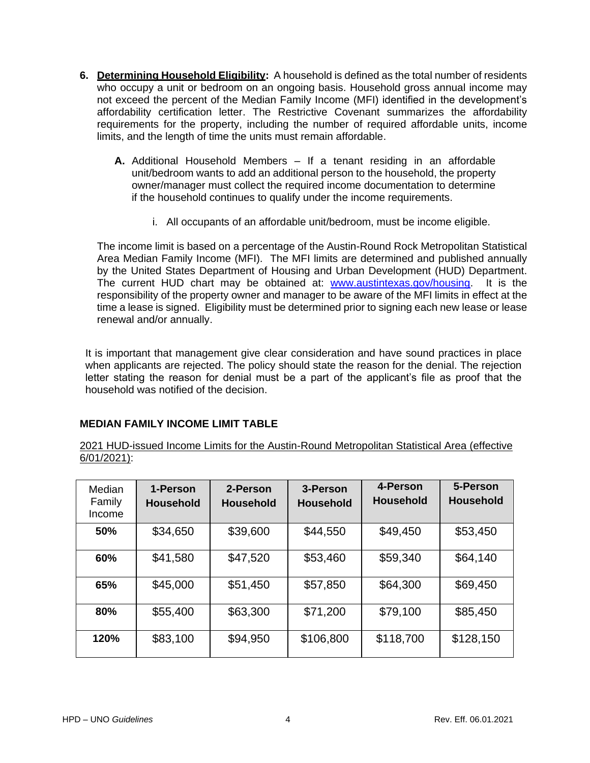- **6. Determining Household Eligibility:** A household is defined as the total number of residents who occupy a unit or bedroom on an ongoing basis. Household gross annual income may not exceed the percent of the Median Family Income (MFI) identified in the development's affordability certification letter. The Restrictive Covenant summarizes the affordability requirements for the property, including the number of required affordable units, income limits, and the length of time the units must remain affordable.
	- **A.** Additional Household Members If a tenant residing in an affordable unit/bedroom wants to add an additional person to the household, the property owner/manager must collect the required income documentation to determine if the household continues to qualify under the income requirements.
		- i. All occupants of an affordable unit/bedroom, must be income eligible.

The income limit is based on a percentage of the Austin-Round Rock Metropolitan Statistical Area Median Family Income (MFI). The MFI limits are determined and published annually by the United States Department of Housing and Urban Development (HUD) Department. The current HUD chart may be obtained at: [www.austintexas.gov/housing.](http://www.austintexas.gov/housing) It is the responsibility of the property owner and manager to be aware of the MFI limits in effect at the time a lease is signed. Eligibility must be determined prior to signing each new lease or lease renewal and/or annually.

It is important that management give clear consideration and have sound practices in place when applicants are rejected. The policy should state the reason for the denial. The rejection letter stating the reason for denial must be a part of the applicant's file as proof that the household was notified of the decision.

### **MEDIAN FAMILY INCOME LIMIT TABLE**

2021 HUD-issued Income Limits for the Austin-Round Metropolitan Statistical Area (effective 6/01/2021):

| Median<br>Family<br>Income | 1-Person<br><b>Household</b> | 2-Person<br><b>Household</b> | 3-Person<br><b>Household</b> | 4-Person<br><b>Household</b> | 5-Person<br><b>Household</b> |
|----------------------------|------------------------------|------------------------------|------------------------------|------------------------------|------------------------------|
| 50%                        | \$34,650                     | \$39,600                     | \$44,550                     | \$49,450                     | \$53,450                     |
| 60%                        | \$41,580                     | \$47,520                     | \$53,460                     | \$59,340                     | \$64,140                     |
| 65%                        | \$45,000                     | \$51,450                     | \$57,850                     | \$64,300                     | \$69,450                     |
| 80%                        | \$55,400                     | \$63,300                     | \$71,200                     | \$79,100                     | \$85,450                     |
| 120%                       | \$83,100                     | \$94,950                     | \$106,800                    | \$118,700                    | \$128,150                    |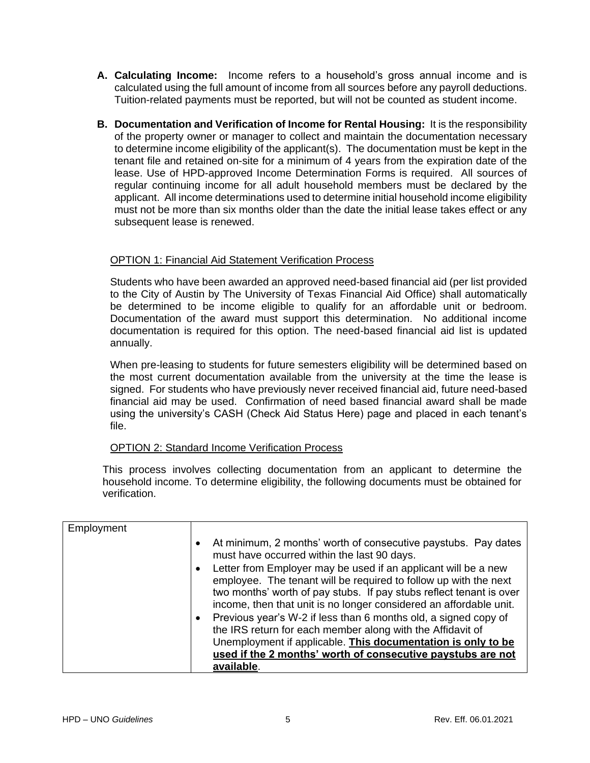- **A. Calculating Income:** Income refers to a household's gross annual income and is calculated using the full amount of income from all sources before any payroll deductions. Tuition-related payments must be reported, but will not be counted as student income.
- **B. Documentation and Verification of Income for Rental Housing:** It is the responsibility of the property owner or manager to collect and maintain the documentation necessary to determine income eligibility of the applicant(s). The documentation must be kept in the tenant file and retained on-site for a minimum of 4 years from the expiration date of the lease. Use of HPD-approved Income Determination Forms is required. All sources of regular continuing income for all adult household members must be declared by the applicant. All income determinations used to determine initial household income eligibility must not be more than six months older than the date the initial lease takes effect or any subsequent lease is renewed.

#### OPTION 1: Financial Aid Statement Verification Process

Students who have been awarded an approved need-based financial aid (per list provided to the City of Austin by The University of Texas Financial Aid Office) shall automatically be determined to be income eligible to qualify for an affordable unit or bedroom. Documentation of the award must support this determination. No additional income documentation is required for this option. The need-based financial aid list is updated annually.

When pre-leasing to students for future semesters eligibility will be determined based on the most current documentation available from the university at the time the lease is signed. For students who have previously never received financial aid, future need-based financial aid may be used. Confirmation of need based financial award shall be made using the university's CASH (Check Aid Status Here) page and placed in each tenant's file.

#### OPTION 2: Standard Income Verification Process

This process involves collecting documentation from an applicant to determine the household income. To determine eligibility, the following documents must be obtained for verification.

| Employment |                                                                                                                                                                                                                                                                                                                                                                                                                                                                                                                                                                                                                                                                                                                       |
|------------|-----------------------------------------------------------------------------------------------------------------------------------------------------------------------------------------------------------------------------------------------------------------------------------------------------------------------------------------------------------------------------------------------------------------------------------------------------------------------------------------------------------------------------------------------------------------------------------------------------------------------------------------------------------------------------------------------------------------------|
|            | At minimum, 2 months' worth of consecutive paystubs. Pay dates<br>$\bullet$<br>must have occurred within the last 90 days.<br>Letter from Employer may be used if an applicant will be a new<br>$\bullet$<br>employee. The tenant will be required to follow up with the next<br>two months' worth of pay stubs. If pay stubs reflect tenant is over<br>income, then that unit is no longer considered an affordable unit.<br>Previous year's W-2 if less than 6 months old, a signed copy of<br>$\bullet$<br>the IRS return for each member along with the Affidavit of<br>Unemployment if applicable. This documentation is only to be<br>used if the 2 months' worth of consecutive paystubs are not<br>available. |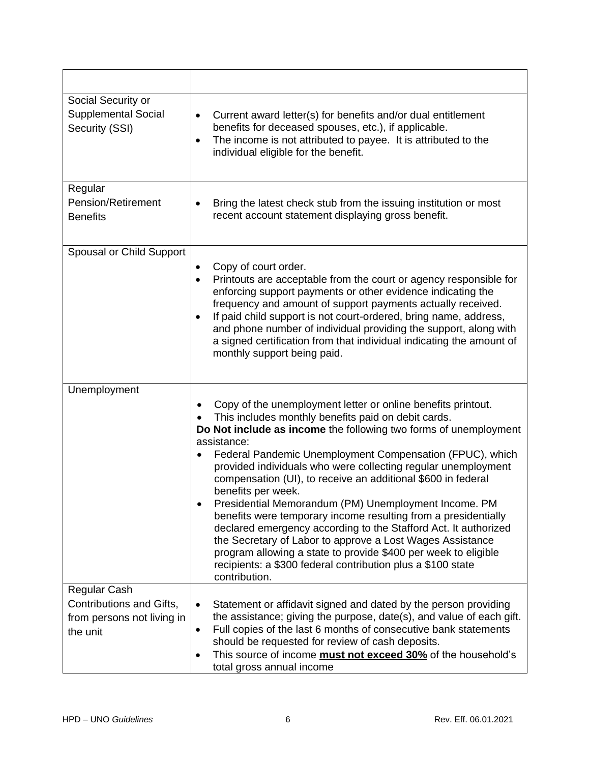| Social Security or<br><b>Supplemental Social</b><br>Security (SSI)                 | Current award letter(s) for benefits and/or dual entitlement<br>٠<br>benefits for deceased spouses, etc.), if applicable.<br>The income is not attributed to payee. It is attributed to the<br>$\bullet$<br>individual eligible for the benefit.                                                                                                                                                                                                                                                                                                                                                                                                                                                                                                                                                                                           |
|------------------------------------------------------------------------------------|--------------------------------------------------------------------------------------------------------------------------------------------------------------------------------------------------------------------------------------------------------------------------------------------------------------------------------------------------------------------------------------------------------------------------------------------------------------------------------------------------------------------------------------------------------------------------------------------------------------------------------------------------------------------------------------------------------------------------------------------------------------------------------------------------------------------------------------------|
| Regular<br><b>Pension/Retirement</b><br><b>Benefits</b>                            | Bring the latest check stub from the issuing institution or most<br>$\bullet$<br>recent account statement displaying gross benefit.                                                                                                                                                                                                                                                                                                                                                                                                                                                                                                                                                                                                                                                                                                        |
| Spousal or Child Support                                                           | Copy of court order.<br>٠<br>Printouts are acceptable from the court or agency responsible for<br>$\bullet$<br>enforcing support payments or other evidence indicating the<br>frequency and amount of support payments actually received.<br>If paid child support is not court-ordered, bring name, address,<br>٠<br>and phone number of individual providing the support, along with<br>a signed certification from that individual indicating the amount of<br>monthly support being paid.                                                                                                                                                                                                                                                                                                                                              |
| Unemployment                                                                       | Copy of the unemployment letter or online benefits printout.<br>This includes monthly benefits paid on debit cards.<br>Do Not include as income the following two forms of unemployment<br>assistance:<br>Federal Pandemic Unemployment Compensation (FPUC), which<br>٠<br>provided individuals who were collecting regular unemployment<br>compensation (UI), to receive an additional \$600 in federal<br>benefits per week.<br>Presidential Memorandum (PM) Unemployment Income. PM<br>benefits were temporary income resulting from a presidentially<br>declared emergency according to the Stafford Act. It authorized<br>the Secretary of Labor to approve a Lost Wages Assistance<br>program allowing a state to provide \$400 per week to eligible<br>recipients: a \$300 federal contribution plus a \$100 state<br>contribution. |
| Regular Cash<br>Contributions and Gifts,<br>from persons not living in<br>the unit | Statement or affidavit signed and dated by the person providing<br>$\bullet$<br>the assistance; giving the purpose, date(s), and value of each gift.<br>Full copies of the last 6 months of consecutive bank statements<br>٠<br>should be requested for review of cash deposits.<br>This source of income <b>must not exceed 30%</b> of the household's<br>$\bullet$<br>total gross annual income                                                                                                                                                                                                                                                                                                                                                                                                                                          |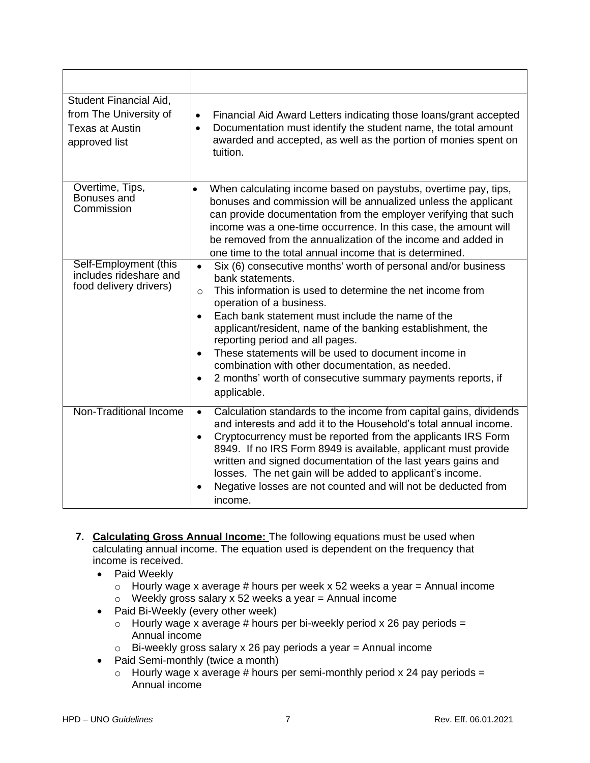| Student Financial Aid,<br>from The University of<br><b>Texas at Austin</b><br>approved list | Financial Aid Award Letters indicating those loans/grant accepted<br>$\bullet$<br>Documentation must identify the student name, the total amount<br>$\bullet$<br>awarded and accepted, as well as the portion of monies spent on<br>tuition.                                                                                                                                                                                                                                                                                                                                            |
|---------------------------------------------------------------------------------------------|-----------------------------------------------------------------------------------------------------------------------------------------------------------------------------------------------------------------------------------------------------------------------------------------------------------------------------------------------------------------------------------------------------------------------------------------------------------------------------------------------------------------------------------------------------------------------------------------|
| Overtime, Tips,<br>Bonuses and<br>Commission                                                | When calculating income based on paystubs, overtime pay, tips,<br>$\bullet$<br>bonuses and commission will be annualized unless the applicant<br>can provide documentation from the employer verifying that such<br>income was a one-time occurrence. In this case, the amount will<br>be removed from the annualization of the income and added in<br>one time to the total annual income that is determined.                                                                                                                                                                          |
| Self-Employment (this<br>includes rideshare and<br>food delivery drivers)                   | Six (6) consecutive months' worth of personal and/or business<br>$\bullet$<br>bank statements.<br>This information is used to determine the net income from<br>$\circ$<br>operation of a business.<br>Each bank statement must include the name of the<br>$\bullet$<br>applicant/resident, name of the banking establishment, the<br>reporting period and all pages.<br>These statements will be used to document income in<br>$\bullet$<br>combination with other documentation, as needed.<br>2 months' worth of consecutive summary payments reports, if<br>$\bullet$<br>applicable. |
| <b>Non-Traditional Income</b>                                                               | Calculation standards to the income from capital gains, dividends<br>$\bullet$<br>and interests and add it to the Household's total annual income.<br>Cryptocurrency must be reported from the applicants IRS Form<br>$\bullet$<br>8949. If no IRS Form 8949 is available, applicant must provide<br>written and signed documentation of the last years gains and<br>losses. The net gain will be added to applicant's income.<br>Negative losses are not counted and will not be deducted from<br>income.                                                                              |

- **7. Calculating Gross Annual Income:** The following equations must be used when calculating annual income. The equation used is dependent on the frequency that income is received.
	- Paid Weekly
		- $\circ$  Hourly wage x average # hours per week x 52 weeks a year = Annual income
		- $\circ$  Weekly gross salary x 52 weeks a year = Annual income
	- Paid Bi-Weekly (every other week)
		- $\circ$  Hourly wage x average # hours per bi-weekly period x 26 pay periods = Annual income
		- $\circ$  Bi-weekly gross salary x 26 pay periods a year = Annual income
	- Paid Semi-monthly (twice a month)
		- $\circ$  Hourly wage x average # hours per semi-monthly period x 24 pay periods = Annual income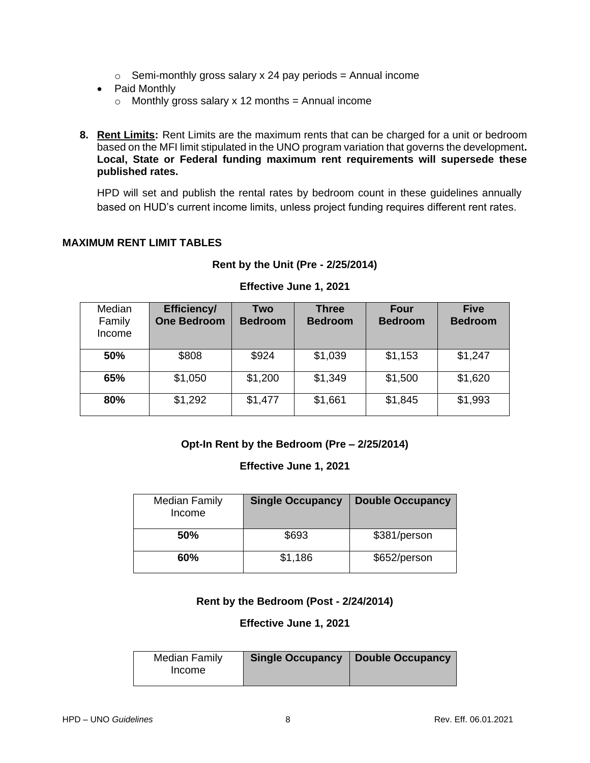- $\circ$  Semi-monthly gross salary x 24 pay periods = Annual income
- Paid Monthly
	- $\circ$  Monthly gross salary x 12 months = Annual income
- **8. Rent Limits:** Rent Limits are the maximum rents that can be charged for a unit or bedroom based on the MFI limit stipulated in the UNO program variation that governs the development**. Local, State or Federal funding maximum rent requirements will supersede these published rates.**

HPD will set and publish the rental rates by bedroom count in these guidelines annually based on HUD's current income limits, unless project funding requires different rent rates.

#### **MAXIMUM RENT LIMIT TABLES**

| Median<br>Family<br>Income | <b>Efficiency/</b><br><b>One Bedroom</b> | Two<br><b>Bedroom</b> | <b>Three</b><br><b>Bedroom</b> | Four<br><b>Bedroom</b> | <b>Five</b><br><b>Bedroom</b> |
|----------------------------|------------------------------------------|-----------------------|--------------------------------|------------------------|-------------------------------|
| 50%                        | \$808                                    | \$924                 | \$1,039                        | \$1,153                | \$1,247                       |
| 65%                        | \$1,050                                  | \$1,200               | \$1,349                        | \$1,500                | \$1,620                       |
| 80%                        | \$1,292                                  | \$1,477               | \$1,661                        | \$1,845                | \$1,993                       |

## **Rent by the Unit (Pre - 2/25/2014) Effective June 1, 2021**

### **Opt-In Rent by the Bedroom (Pre – 2/25/2014)**

#### **Effective June 1, 2021**

| Median Family<br>Income | <b>Single Occupancy</b> | <b>Double Occupancy</b> |
|-------------------------|-------------------------|-------------------------|
| 50%                     | \$693                   | \$381/person            |
| 60%                     | \$1,186                 | \$652/person            |

#### **Rent by the Bedroom (Post - 2/24/2014)**

#### **Effective June 1, 2021**

| <b>Median Family</b> | Single Occupancy   Double Occupancy |
|----------------------|-------------------------------------|
| Income               |                                     |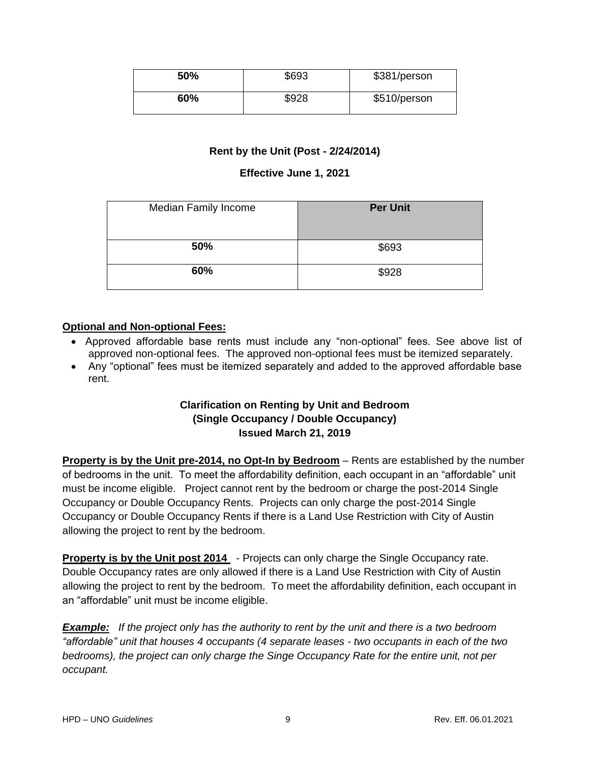| 50% | \$693 | \$381/person |
|-----|-------|--------------|
| 60% | \$928 | \$510/person |

#### **Rent by the Unit (Post - 2/24/2014)**

#### **Effective June 1, 2021**

| <b>Median Family Income</b> | <b>Per Unit</b> |
|-----------------------------|-----------------|
| 50%                         | \$693           |
| 60%                         | \$928           |

### **Optional and Non-optional Fees:**

- Approved affordable base rents must include any "non-optional" fees. See above list of approved non-optional fees. The approved non-optional fees must be itemized separately.
- Any "optional" fees must be itemized separately and added to the approved affordable base rent.

### **Clarification on Renting by Unit and Bedroom (Single Occupancy / Double Occupancy) Issued March 21, 2019**

**Property is by the Unit pre-2014, no Opt-In by Bedroom** – Rents are established by the number of bedrooms in the unit. To meet the affordability definition, each occupant in an "affordable" unit must be income eligible. Project cannot rent by the bedroom or charge the post-2014 Single Occupancy or Double Occupancy Rents. Projects can only charge the post-2014 Single Occupancy or Double Occupancy Rents if there is a Land Use Restriction with City of Austin allowing the project to rent by the bedroom.

**Property is by the Unit post 2014** - Projects can only charge the Single Occupancy rate. Double Occupancy rates are only allowed if there is a Land Use Restriction with City of Austin allowing the project to rent by the bedroom. To meet the affordability definition, each occupant in an "affordable" unit must be income eligible.

*Example: If the project only has the authority to rent by the unit and there is a two bedroom "affordable" unit that houses 4 occupants (4 separate leases - two occupants in each of the two bedrooms), the project can only charge the Singe Occupancy Rate for the entire unit, not per occupant.*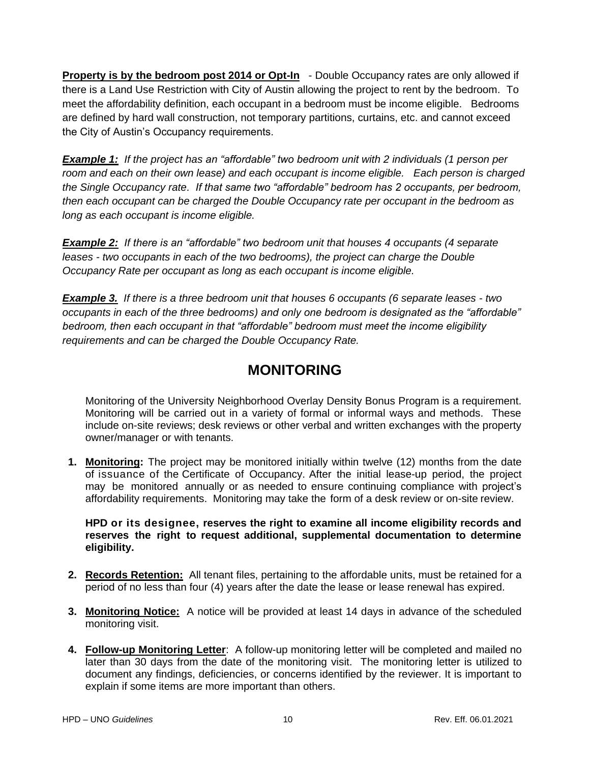**Property is by the bedroom post 2014 or Opt-In** - Double Occupancy rates are only allowed if there is a Land Use Restriction with City of Austin allowing the project to rent by the bedroom. To meet the affordability definition, each occupant in a bedroom must be income eligible. Bedrooms are defined by hard wall construction, not temporary partitions, curtains, etc. and cannot exceed the City of Austin's Occupancy requirements.

*Example 1: If the project has an "affordable" two bedroom unit with 2 individuals (1 person per room and each on their own lease) and each occupant is income eligible. Each person is charged the Single Occupancy rate. If that same two "affordable" bedroom has 2 occupants, per bedroom, then each occupant can be charged the Double Occupancy rate per occupant in the bedroom as long as each occupant is income eligible.* 

*Example 2: If there is an "affordable" two bedroom unit that houses 4 occupants (4 separate leases - two occupants in each of the two bedrooms), the project can charge the Double Occupancy Rate per occupant as long as each occupant is income eligible.*

*Example 3. If there is a three bedroom unit that houses 6 occupants (6 separate leases - two occupants in each of the three bedrooms) and only one bedroom is designated as the "affordable" bedroom, then each occupant in that "affordable" bedroom must meet the income eligibility requirements and can be charged the Double Occupancy Rate.* 

# **MONITORING**

Monitoring of the University Neighborhood Overlay Density Bonus Program is a requirement. Monitoring will be carried out in a variety of formal or informal ways and methods. These include on-site reviews; desk reviews or other verbal and written exchanges with the property owner/manager or with tenants.

**1. Monitoring:** The project may be monitored initially within twelve (12) months from the date of issuance of the Certificate of Occupancy. After the initial lease-up period, the project may be monitored annually or as needed to ensure continuing compliance with project's affordability requirements. Monitoring may take the form of a desk review or on-site review.

#### **HPD or its designee, reserves the right to examine all income eligibility records and reserves the right to request additional, supplemental documentation to determine eligibility.**

- **2. Records Retention:** All tenant files, pertaining to the affordable units, must be retained for a period of no less than four (4) years after the date the lease or lease renewal has expired.
- **3. Monitoring Notice:** A notice will be provided at least 14 days in advance of the scheduled monitoring visit.
- **4. Follow-up Monitoring Letter**: A follow-up monitoring letter will be completed and mailed no later than 30 days from the date of the monitoring visit. The monitoring letter is utilized to document any findings, deficiencies, or concerns identified by the reviewer. It is important to explain if some items are more important than others.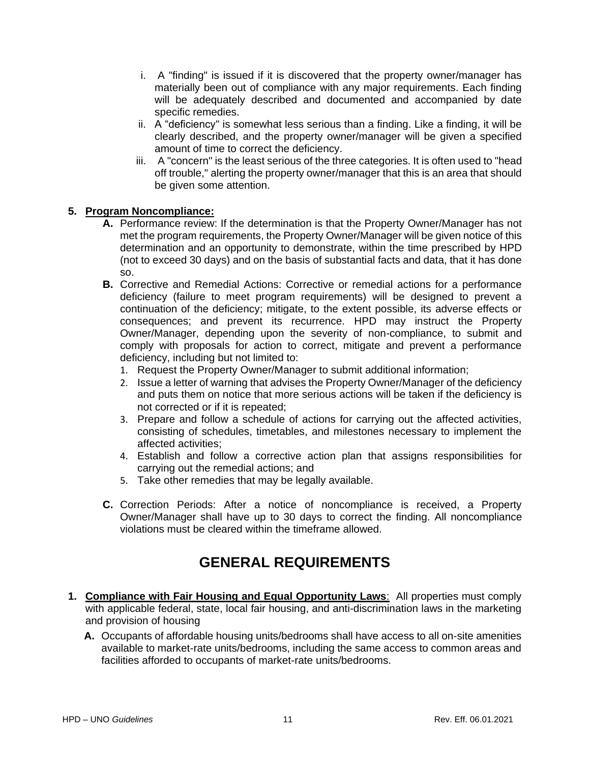- i. A "finding" is issued if it is discovered that the property owner/manager has materially been out of compliance with any major requirements. Each finding will be adequately described and documented and accompanied by date specific remedies.
- ii. A "deficiency" is somewhat less serious than a finding. Like a finding, it will be clearly described, and the property owner/manager will be given a specified amount of time to correct the deficiency.
- iii. A "concern" is the least serious of the three categories. It is often used to "head off trouble," alerting the property owner/manager that this is an area that should be given some attention.

#### **5. Program Noncompliance:**

- **A.** Performance review: If the determination is that the Property Owner/Manager has not met the program requirements, the Property Owner/Manager will be given notice of this determination and an opportunity to demonstrate, within the time prescribed by HPD (not to exceed 30 days) and on the basis of substantial facts and data, that it has done so.
- **B.** Corrective and Remedial Actions: Corrective or remedial actions for a performance deficiency (failure to meet program requirements) will be designed to prevent a continuation of the deficiency; mitigate, to the extent possible, its adverse effects or consequences; and prevent its recurrence. HPD may instruct the Property Owner/Manager, depending upon the severity of non-compliance, to submit and comply with proposals for action to correct, mitigate and prevent a performance deficiency, including but not limited to:
	- 1. Request the Property Owner/Manager to submit additional information;
	- 2. Issue a letter of warning that advises the Property Owner/Manager of the deficiency and puts them on notice that more serious actions will be taken if the deficiency is not corrected or if it is repeated;
	- 3. Prepare and follow a schedule of actions for carrying out the affected activities, consisting of schedules, timetables, and milestones necessary to implement the affected activities;
	- 4. Establish and follow a corrective action plan that assigns responsibilities for carrying out the remedial actions; and
	- 5. Take other remedies that may be legally available.
- **C.** Correction Periods: After a notice of noncompliance is received, a Property Owner/Manager shall have up to 30 days to correct the finding. All noncompliance violations must be cleared within the timeframe allowed.

# **GENERAL REQUIREMENTS**

- **1. Compliance with Fair Housing and Equal Opportunity Laws**: All properties must comply with applicable federal, state, local fair housing, and anti-discrimination laws in the marketing and provision of housing
	- **A.** Occupants of affordable housing units/bedrooms shall have access to all on-site amenities available to market-rate units/bedrooms, including the same access to common areas and facilities afforded to occupants of market-rate units/bedrooms.